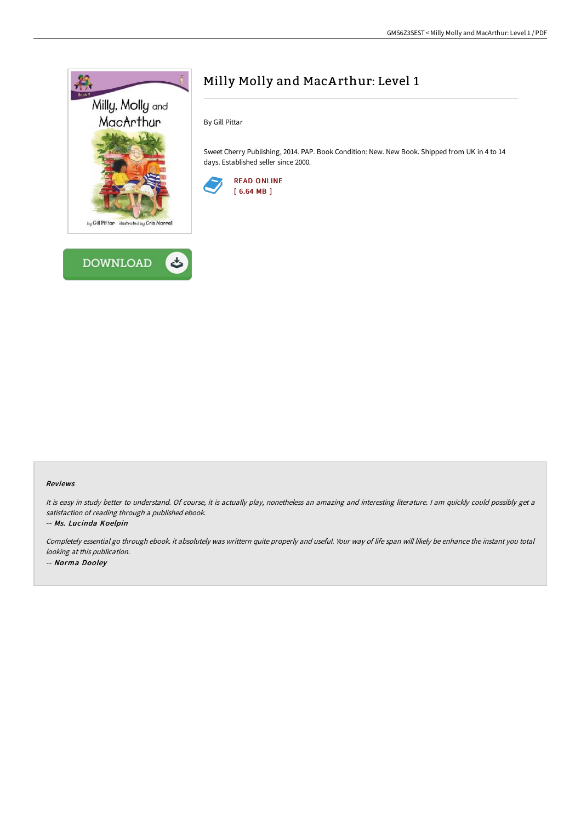



# Milly Molly and MacA rthur: Level 1

By Gill Pittar

Sweet Cherry Publishing, 2014. PAP. Book Condition: New. New Book. Shipped from UK in 4 to 14 days. Established seller since 2000.



#### Reviews

It is easy in study better to understand. Of course, it is actually play, nonetheless an amazing and interesting literature. I am quickly could possibly get a satisfaction of reading through <sup>a</sup> published ebook.

-- Ms. Lucinda Koelpin

Completely essential go through ebook. it absolutely was writtern quite properly and useful. Your way of life span will likely be enhance the instant you total looking at this publication. -- Norma Dooley